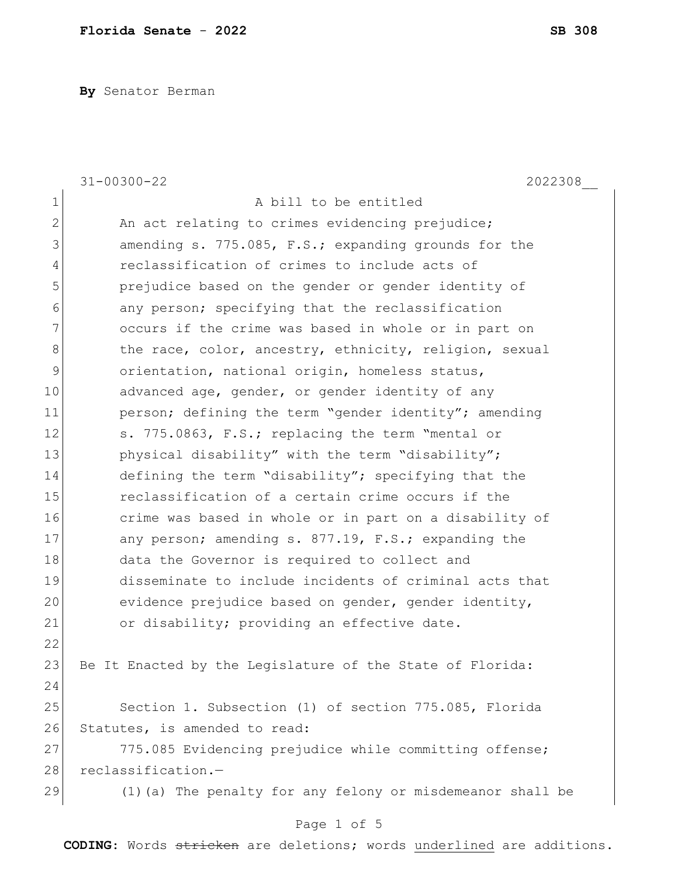**By** Senator Berman

|              | $31 - 00300 - 22$<br>2022308                               |
|--------------|------------------------------------------------------------|
| 1            | A bill to be entitled                                      |
| $\mathbf{2}$ | An act relating to crimes evidencing prejudice;            |
| 3            | amending s. 775.085, F.S.; expanding grounds for the       |
| 4            | reclassification of crimes to include acts of              |
| 5            | prejudice based on the gender or gender identity of        |
| 6            | any person; specifying that the reclassification           |
| 7            | occurs if the crime was based in whole or in part on       |
| $\,8\,$      | the race, color, ancestry, ethnicity, religion, sexual     |
| 9            | orientation, national origin, homeless status,             |
| 10           | advanced age, gender, or gender identity of any            |
| 11           | person; defining the term "gender identity"; amending      |
| 12           | s. 775.0863, F.S.; replacing the term "mental or           |
| 13           | physical disability" with the term "disability";           |
| 14           | defining the term "disability"; specifying that the        |
| 15           | reclassification of a certain crime occurs if the          |
| 16           | crime was based in whole or in part on a disability of     |
| 17           | any person; amending s. 877.19, F.S.; expanding the        |
| 18           | data the Governor is required to collect and               |
| 19           | disseminate to include incidents of criminal acts that     |
| 20           | evidence prejudice based on gender, gender identity,       |
| 21           | or disability; providing an effective date.                |
| 22           |                                                            |
| 23           | Be It Enacted by the Legislature of the State of Florida:  |
| 24           |                                                            |
| 25           | Section 1. Subsection (1) of section 775.085, Florida      |
| 26           | Statutes, is amended to read:                              |
| 27           | 775.085 Evidencing prejudice while committing offense;     |
| 28           | reclassification.-                                         |
| 29           | (1) (a) The penalty for any felony or misdemeanor shall be |
|              | Page 1 of 5                                                |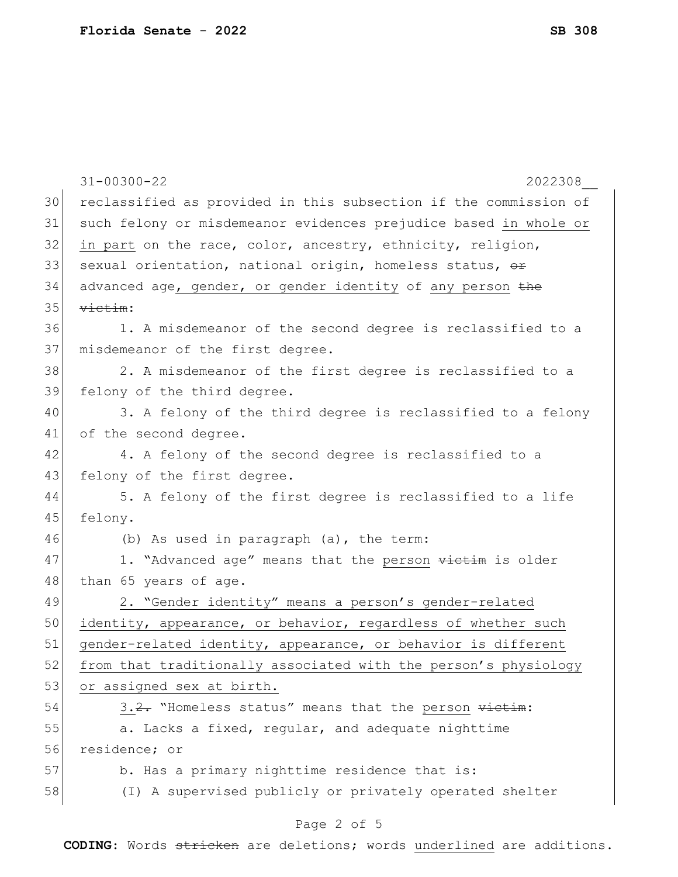|    | $31 - 00300 - 22$<br>2022308                                     |  |  |  |  |  |  |  |
|----|------------------------------------------------------------------|--|--|--|--|--|--|--|
| 30 | reclassified as provided in this subsection if the commission of |  |  |  |  |  |  |  |
| 31 | such felony or misdemeanor evidences prejudice based in whole or |  |  |  |  |  |  |  |
| 32 | in part on the race, color, ancestry, ethnicity, religion,       |  |  |  |  |  |  |  |
| 33 | sexual orientation, national origin, homeless status, or         |  |  |  |  |  |  |  |
| 34 | advanced age, gender, or gender identity of any person the       |  |  |  |  |  |  |  |
| 35 | $\overline{\texttt{vietim}}$ :                                   |  |  |  |  |  |  |  |
| 36 | 1. A misdemeanor of the second degree is reclassified to a       |  |  |  |  |  |  |  |
| 37 | misdemeanor of the first degree.                                 |  |  |  |  |  |  |  |
| 38 | 2. A misdemeanor of the first degree is reclassified to a        |  |  |  |  |  |  |  |
| 39 | felony of the third degree.                                      |  |  |  |  |  |  |  |
| 40 | 3. A felony of the third degree is reclassified to a felony      |  |  |  |  |  |  |  |
| 41 | of the second degree.                                            |  |  |  |  |  |  |  |
| 42 | 4. A felony of the second degree is reclassified to a            |  |  |  |  |  |  |  |
| 43 | felony of the first degree.                                      |  |  |  |  |  |  |  |
| 44 | 5. A felony of the first degree is reclassified to a life        |  |  |  |  |  |  |  |
| 45 | felony.                                                          |  |  |  |  |  |  |  |
| 46 | (b) As used in paragraph (a), the term:                          |  |  |  |  |  |  |  |
| 47 | 1. "Advanced age" means that the person victim is older          |  |  |  |  |  |  |  |
| 48 | than 65 years of age.                                            |  |  |  |  |  |  |  |
| 49 | 2. "Gender identity" means a person's gender-related             |  |  |  |  |  |  |  |
| 50 | identity, appearance, or behavior, regardless of whether such    |  |  |  |  |  |  |  |
| 51 | gender-related identity, appearance, or behavior is different    |  |  |  |  |  |  |  |
| 52 | from that traditionally associated with the person's physiology  |  |  |  |  |  |  |  |
| 53 | or assigned sex at birth.                                        |  |  |  |  |  |  |  |
| 54 | 3.2. "Homeless status" means that the person victim:             |  |  |  |  |  |  |  |
| 55 | a. Lacks a fixed, reqular, and adequate nighttime                |  |  |  |  |  |  |  |
| 56 | residence; or                                                    |  |  |  |  |  |  |  |
| 57 | b. Has a primary nighttime residence that is:                    |  |  |  |  |  |  |  |
| 58 | (I) A supervised publicly or privately operated shelter          |  |  |  |  |  |  |  |
|    |                                                                  |  |  |  |  |  |  |  |

## Page 2 of 5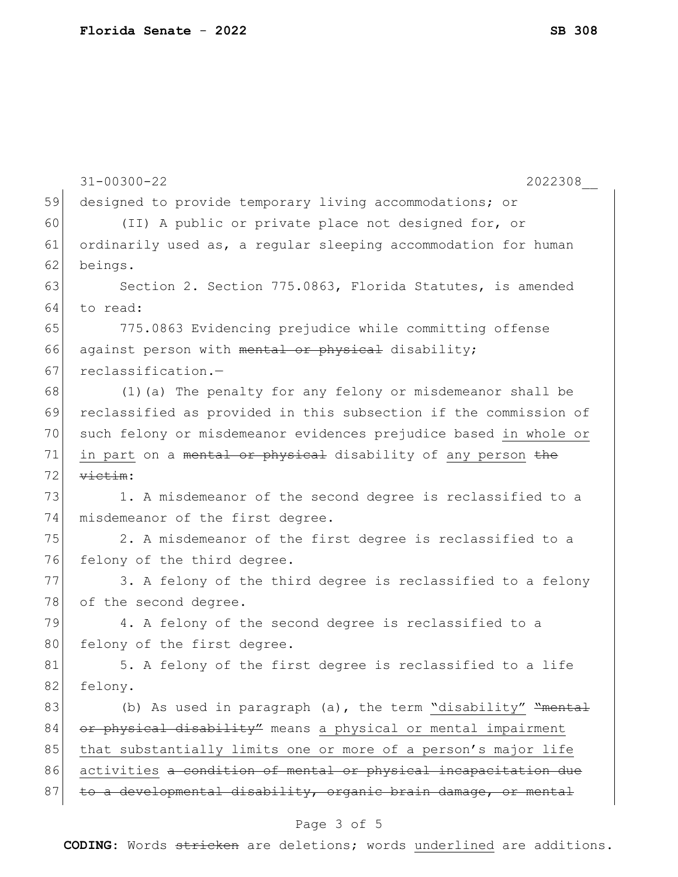| 59<br>designed to provide temporary living accommodations; or<br>60<br>(II) A public or private place not designed for, or<br>61<br>ordinarily used as, a regular sleeping accommodation for human<br>62<br>beings.<br>63<br>Section 2. Section 775.0863, Florida Statutes, is amended<br>to read:<br>64<br>65<br>775.0863 Evidencing prejudice while committing offense<br>66<br>against person with mental or physical disability;<br>67<br>reclassification.-<br>68<br>(1) (a) The penalty for any felony or misdemeanor shall be<br>69<br>70<br>71<br>in part on a mental or physical disability of any person the<br>72<br>$\forall$ ietim:<br>73<br>1. A misdemeanor of the second degree is reclassified to a<br>74<br>misdemeanor of the first degree.<br>75<br>2. A misdemeanor of the first degree is reclassified to a<br>76<br>felony of the third degree.<br>77<br>78<br>of the second degree.<br>79<br>4. A felony of the second degree is reclassified to a<br>80<br>felony of the first degree.<br>81<br>5. A felony of the first degree is reclassified to a life<br>82<br>felony.<br>83<br>or physical disability" means a physical or mental impairment<br>84<br>85<br>that substantially limits one or more of a person's major life<br>86<br>activities a condition of mental or physical incapacitation due<br>87<br>to a developmental disability, organic brain damage, or mental | $31 - 00300 - 22$<br>2022308                                      |  |  |  |  |  |  |  |  |  |
|-----------------------------------------------------------------------------------------------------------------------------------------------------------------------------------------------------------------------------------------------------------------------------------------------------------------------------------------------------------------------------------------------------------------------------------------------------------------------------------------------------------------------------------------------------------------------------------------------------------------------------------------------------------------------------------------------------------------------------------------------------------------------------------------------------------------------------------------------------------------------------------------------------------------------------------------------------------------------------------------------------------------------------------------------------------------------------------------------------------------------------------------------------------------------------------------------------------------------------------------------------------------------------------------------------------------------------------------------------------------------------------------------------------|-------------------------------------------------------------------|--|--|--|--|--|--|--|--|--|
|                                                                                                                                                                                                                                                                                                                                                                                                                                                                                                                                                                                                                                                                                                                                                                                                                                                                                                                                                                                                                                                                                                                                                                                                                                                                                                                                                                                                           |                                                                   |  |  |  |  |  |  |  |  |  |
|                                                                                                                                                                                                                                                                                                                                                                                                                                                                                                                                                                                                                                                                                                                                                                                                                                                                                                                                                                                                                                                                                                                                                                                                                                                                                                                                                                                                           |                                                                   |  |  |  |  |  |  |  |  |  |
|                                                                                                                                                                                                                                                                                                                                                                                                                                                                                                                                                                                                                                                                                                                                                                                                                                                                                                                                                                                                                                                                                                                                                                                                                                                                                                                                                                                                           |                                                                   |  |  |  |  |  |  |  |  |  |
|                                                                                                                                                                                                                                                                                                                                                                                                                                                                                                                                                                                                                                                                                                                                                                                                                                                                                                                                                                                                                                                                                                                                                                                                                                                                                                                                                                                                           |                                                                   |  |  |  |  |  |  |  |  |  |
|                                                                                                                                                                                                                                                                                                                                                                                                                                                                                                                                                                                                                                                                                                                                                                                                                                                                                                                                                                                                                                                                                                                                                                                                                                                                                                                                                                                                           |                                                                   |  |  |  |  |  |  |  |  |  |
|                                                                                                                                                                                                                                                                                                                                                                                                                                                                                                                                                                                                                                                                                                                                                                                                                                                                                                                                                                                                                                                                                                                                                                                                                                                                                                                                                                                                           |                                                                   |  |  |  |  |  |  |  |  |  |
|                                                                                                                                                                                                                                                                                                                                                                                                                                                                                                                                                                                                                                                                                                                                                                                                                                                                                                                                                                                                                                                                                                                                                                                                                                                                                                                                                                                                           |                                                                   |  |  |  |  |  |  |  |  |  |
|                                                                                                                                                                                                                                                                                                                                                                                                                                                                                                                                                                                                                                                                                                                                                                                                                                                                                                                                                                                                                                                                                                                                                                                                                                                                                                                                                                                                           |                                                                   |  |  |  |  |  |  |  |  |  |
|                                                                                                                                                                                                                                                                                                                                                                                                                                                                                                                                                                                                                                                                                                                                                                                                                                                                                                                                                                                                                                                                                                                                                                                                                                                                                                                                                                                                           |                                                                   |  |  |  |  |  |  |  |  |  |
|                                                                                                                                                                                                                                                                                                                                                                                                                                                                                                                                                                                                                                                                                                                                                                                                                                                                                                                                                                                                                                                                                                                                                                                                                                                                                                                                                                                                           |                                                                   |  |  |  |  |  |  |  |  |  |
|                                                                                                                                                                                                                                                                                                                                                                                                                                                                                                                                                                                                                                                                                                                                                                                                                                                                                                                                                                                                                                                                                                                                                                                                                                                                                                                                                                                                           | reclassified as provided in this subsection if the commission of  |  |  |  |  |  |  |  |  |  |
|                                                                                                                                                                                                                                                                                                                                                                                                                                                                                                                                                                                                                                                                                                                                                                                                                                                                                                                                                                                                                                                                                                                                                                                                                                                                                                                                                                                                           | such felony or misdemeanor evidences prejudice based in whole or  |  |  |  |  |  |  |  |  |  |
|                                                                                                                                                                                                                                                                                                                                                                                                                                                                                                                                                                                                                                                                                                                                                                                                                                                                                                                                                                                                                                                                                                                                                                                                                                                                                                                                                                                                           |                                                                   |  |  |  |  |  |  |  |  |  |
|                                                                                                                                                                                                                                                                                                                                                                                                                                                                                                                                                                                                                                                                                                                                                                                                                                                                                                                                                                                                                                                                                                                                                                                                                                                                                                                                                                                                           |                                                                   |  |  |  |  |  |  |  |  |  |
|                                                                                                                                                                                                                                                                                                                                                                                                                                                                                                                                                                                                                                                                                                                                                                                                                                                                                                                                                                                                                                                                                                                                                                                                                                                                                                                                                                                                           |                                                                   |  |  |  |  |  |  |  |  |  |
|                                                                                                                                                                                                                                                                                                                                                                                                                                                                                                                                                                                                                                                                                                                                                                                                                                                                                                                                                                                                                                                                                                                                                                                                                                                                                                                                                                                                           |                                                                   |  |  |  |  |  |  |  |  |  |
|                                                                                                                                                                                                                                                                                                                                                                                                                                                                                                                                                                                                                                                                                                                                                                                                                                                                                                                                                                                                                                                                                                                                                                                                                                                                                                                                                                                                           |                                                                   |  |  |  |  |  |  |  |  |  |
|                                                                                                                                                                                                                                                                                                                                                                                                                                                                                                                                                                                                                                                                                                                                                                                                                                                                                                                                                                                                                                                                                                                                                                                                                                                                                                                                                                                                           |                                                                   |  |  |  |  |  |  |  |  |  |
|                                                                                                                                                                                                                                                                                                                                                                                                                                                                                                                                                                                                                                                                                                                                                                                                                                                                                                                                                                                                                                                                                                                                                                                                                                                                                                                                                                                                           | 3. A felony of the third degree is reclassified to a felony       |  |  |  |  |  |  |  |  |  |
|                                                                                                                                                                                                                                                                                                                                                                                                                                                                                                                                                                                                                                                                                                                                                                                                                                                                                                                                                                                                                                                                                                                                                                                                                                                                                                                                                                                                           |                                                                   |  |  |  |  |  |  |  |  |  |
|                                                                                                                                                                                                                                                                                                                                                                                                                                                                                                                                                                                                                                                                                                                                                                                                                                                                                                                                                                                                                                                                                                                                                                                                                                                                                                                                                                                                           |                                                                   |  |  |  |  |  |  |  |  |  |
|                                                                                                                                                                                                                                                                                                                                                                                                                                                                                                                                                                                                                                                                                                                                                                                                                                                                                                                                                                                                                                                                                                                                                                                                                                                                                                                                                                                                           |                                                                   |  |  |  |  |  |  |  |  |  |
|                                                                                                                                                                                                                                                                                                                                                                                                                                                                                                                                                                                                                                                                                                                                                                                                                                                                                                                                                                                                                                                                                                                                                                                                                                                                                                                                                                                                           |                                                                   |  |  |  |  |  |  |  |  |  |
|                                                                                                                                                                                                                                                                                                                                                                                                                                                                                                                                                                                                                                                                                                                                                                                                                                                                                                                                                                                                                                                                                                                                                                                                                                                                                                                                                                                                           |                                                                   |  |  |  |  |  |  |  |  |  |
|                                                                                                                                                                                                                                                                                                                                                                                                                                                                                                                                                                                                                                                                                                                                                                                                                                                                                                                                                                                                                                                                                                                                                                                                                                                                                                                                                                                                           | (b) As used in paragraph (a), the term "disability" $\frac{m}{n}$ |  |  |  |  |  |  |  |  |  |
|                                                                                                                                                                                                                                                                                                                                                                                                                                                                                                                                                                                                                                                                                                                                                                                                                                                                                                                                                                                                                                                                                                                                                                                                                                                                                                                                                                                                           |                                                                   |  |  |  |  |  |  |  |  |  |
|                                                                                                                                                                                                                                                                                                                                                                                                                                                                                                                                                                                                                                                                                                                                                                                                                                                                                                                                                                                                                                                                                                                                                                                                                                                                                                                                                                                                           |                                                                   |  |  |  |  |  |  |  |  |  |
|                                                                                                                                                                                                                                                                                                                                                                                                                                                                                                                                                                                                                                                                                                                                                                                                                                                                                                                                                                                                                                                                                                                                                                                                                                                                                                                                                                                                           |                                                                   |  |  |  |  |  |  |  |  |  |
|                                                                                                                                                                                                                                                                                                                                                                                                                                                                                                                                                                                                                                                                                                                                                                                                                                                                                                                                                                                                                                                                                                                                                                                                                                                                                                                                                                                                           |                                                                   |  |  |  |  |  |  |  |  |  |

## Page 3 of 5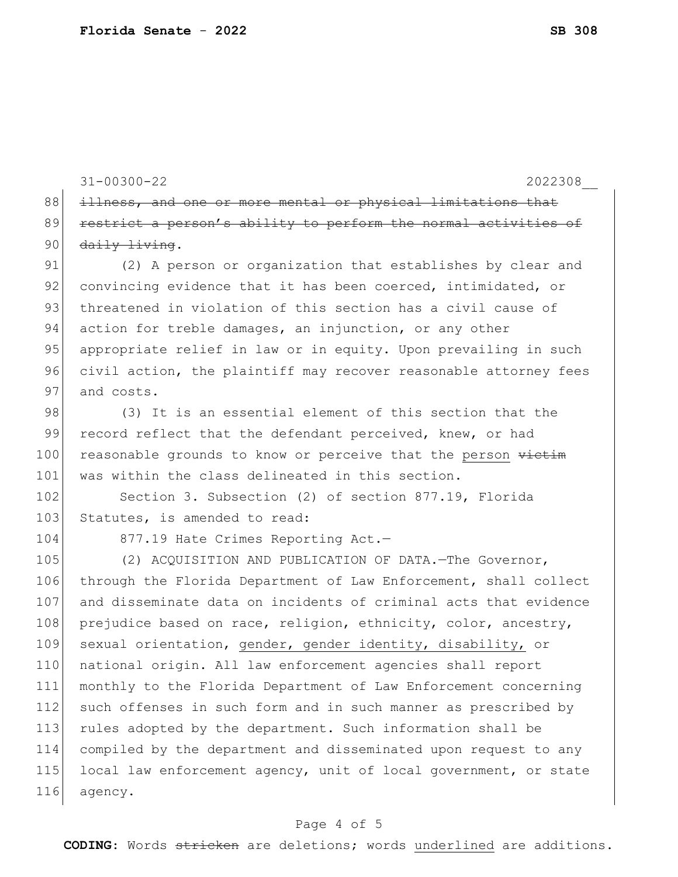31-00300-22 2022308\_\_ 88 illness, and one or more mental or physical limitations that 89 restrict a person's ability to perform the normal activities of  $90$  daily living. 91 (2) A person or organization that establishes by clear and 92 convincing evidence that it has been coerced, intimidated, or 93 threatened in violation of this section has a civil cause of 94 action for treble damages, an injunction, or any other 95 appropriate relief in law or in equity. Upon prevailing in such 96 civil action, the plaintiff may recover reasonable attorney fees 97 and costs. 98 (3) It is an essential element of this section that the 99 record reflect that the defendant perceived, knew, or had 100 reasonable grounds to know or perceive that the person victim 101 was within the class delineated in this section. 102 Section 3. Subsection (2) of section 877.19, Florida 103 Statutes, is amended to read: 104 877.19 Hate Crimes Reporting Act.-105 (2) ACQUISITION AND PUBLICATION OF DATA. The Governor, 106 through the Florida Department of Law Enforcement, shall collect 107 and disseminate data on incidents of criminal acts that evidence 108 prejudice based on race, religion, ethnicity, color, ancestry, 109 sexual orientation, gender, gender identity, disability, or 110 national origin. All law enforcement agencies shall report 111 monthly to the Florida Department of Law Enforcement concerning 112 such offenses in such form and in such manner as prescribed by 113 rules adopted by the department. Such information shall be 114 compiled by the department and disseminated upon request to any 115 local law enforcement agency, unit of local government, or state 116 agency.

## Page 4 of 5